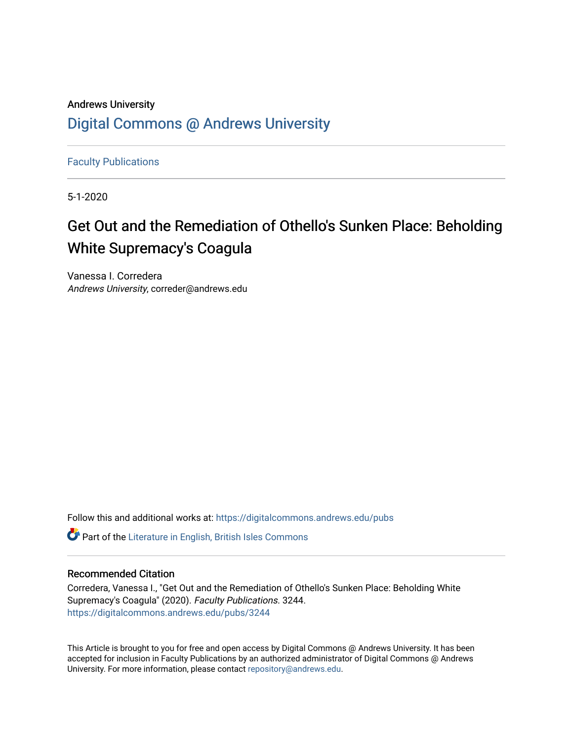# Andrews University [Digital Commons @ Andrews University](https://digitalcommons.andrews.edu/)

[Faculty Publications](https://digitalcommons.andrews.edu/pubs)

5-1-2020

# Get Out and the Remediation of Othello's Sunken Place: Beholding White Supremacy's Coagula

Vanessa I. Corredera Andrews University, correder@andrews.edu

Follow this and additional works at: [https://digitalcommons.andrews.edu/pubs](https://digitalcommons.andrews.edu/pubs?utm_source=digitalcommons.andrews.edu%2Fpubs%2F3244&utm_medium=PDF&utm_campaign=PDFCoverPages) 

**C** Part of the [Literature in English, British Isles Commons](http://network.bepress.com/hgg/discipline/456?utm_source=digitalcommons.andrews.edu%2Fpubs%2F3244&utm_medium=PDF&utm_campaign=PDFCoverPages)

# Recommended Citation

Corredera, Vanessa I., "Get Out and the Remediation of Othello's Sunken Place: Beholding White Supremacy's Coagula" (2020). Faculty Publications. 3244. [https://digitalcommons.andrews.edu/pubs/3244](https://digitalcommons.andrews.edu/pubs/3244?utm_source=digitalcommons.andrews.edu%2Fpubs%2F3244&utm_medium=PDF&utm_campaign=PDFCoverPages) 

This Article is brought to you for free and open access by Digital Commons @ Andrews University. It has been accepted for inclusion in Faculty Publications by an authorized administrator of Digital Commons @ Andrews University. For more information, please contact [repository@andrews.edu](mailto:repository@andrews.edu).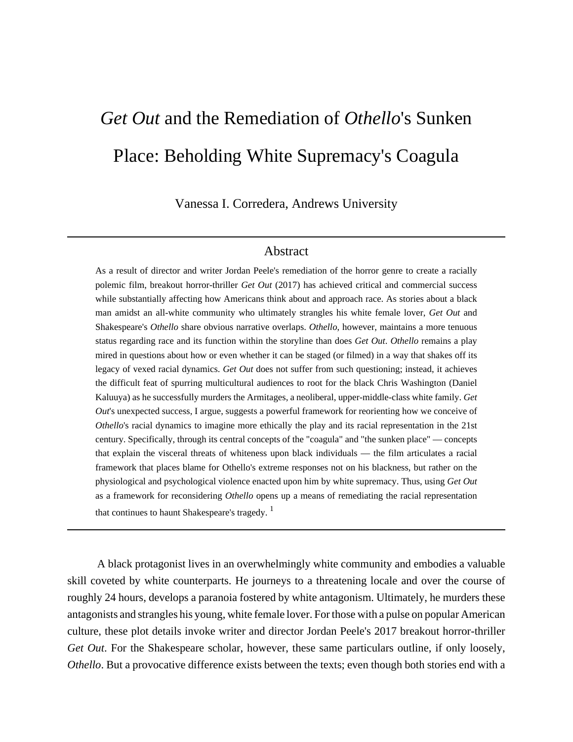# *Get Out* and the Remediation of *Othello*'s Sunken Place: Beholding White Supremacy's Coagula

Vanessa I. Corredera, Andrews University

# Abstract

As a result of director and writer Jordan Peele's remediation of the horror genre to create a racially polemic film, breakout horror-thriller *Get Out* (2017) has achieved critical and commercial success while substantially affecting how Americans think about and approach race. As stories about a black man amidst an all-white community who ultimately strangles his white female lover, *Get Out* and Shakespeare's *Othello* share obvious narrative overlaps. *Othello*, however, maintains a more tenuous status regarding race and its function within the storyline than does *Get Out*. *Othello* remains a play mired in questions about how or even whether it can be staged (or filmed) in a way that shakes off its legacy of vexed racial dynamics. *Get Out* does not suffer from such questioning; instead, it achieves the difficult feat of spurring multicultural audiences to root for the black Chris Washington (Daniel Kaluuya) as he successfully murders the Armitages, a neoliberal, upper-middle-class white family. *Get Out*'s unexpected success, I argue, suggests a powerful framework for reorienting how we conceive of *Othello*'s racial dynamics to imagine more ethically the play and its racial representation in the 21st century. Specifically, through its central concepts of the "coagula" and "the sunken place" — concepts that explain the visceral threats of whiteness upon black individuals — the film articulates a racial framework that places blame for Othello's extreme responses not on his blackness, but rather on the physiological and psychological violence enacted upon him by white supremacy. Thus, using *Get Out* as a framework for reconsidering *Othello* opens up a means of remediating the racial representation that continues to haunt Shakespeare's tragedy.  $<sup>1</sup>$ </sup>

 A black protagonist lives in an overwhelmingly white community and embodies a valuable skill coveted by white counterparts. He journeys to a threatening locale and over the course of roughly 24 hours, develops a paranoia fostered by white antagonism. Ultimately, he murders these antagonists and strangles his young, white female lover. For those with a pulse on popular American culture, these plot details invoke writer and director Jordan Peele's 2017 breakout horror-thriller *Get Out*. For the Shakespeare scholar, however, these same particulars outline, if only loosely, *Othello*. But a provocative difference exists between the texts; even though both stories end with a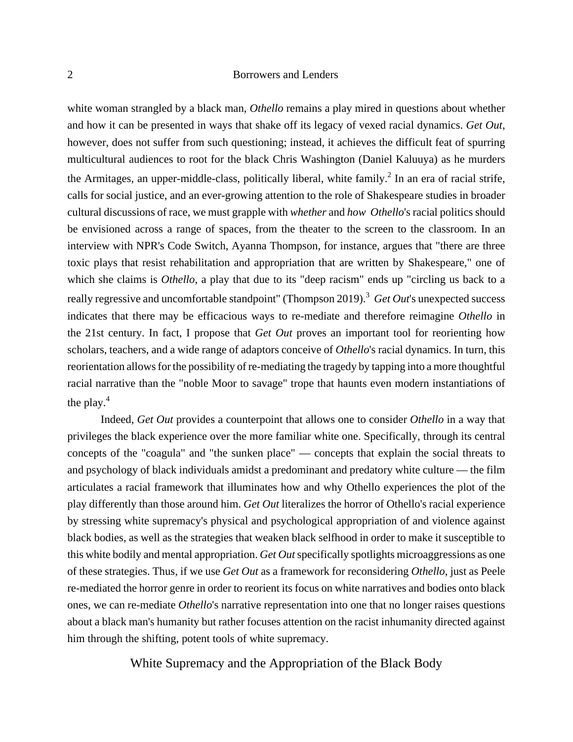white woman strangled by a black man, *Othello* remains a play mired in questions about whether and how it can be presented in ways that shake off its legacy of vexed racial dynamics. *Get Out*, however, does not suffer from such questioning; instead, it achieves the difficult feat of spurring multicultural audiences to root for the black Chris Washington (Daniel Kaluuya) as he murders the Armitages, an upper-middle-class, politically liberal, white family.<sup>2</sup> In an era of racial strife, calls for social justice, and an ever-growing attention to the role of Shakespeare studies in broader cultural discussions of race, we must grapple with *whether* and *how Othello*'s racial politics should be envisioned across a range of spaces, from the theater to the screen to the classroom. In an interview with NPR's Code Switch, Ayanna Thompson, for instance, argues that "there are three toxic plays that resist rehabilitation and appropriation that are written by Shakespeare," one of which she claims is *Othello*, a play that due to its "deep racism" ends up "circling us back to a really regressive and uncomfortable standpoint" (Thompson 2019).<sup>3</sup> Get Out's unexpected success indicates that there may be efficacious ways to re-mediate and therefore reimagine *Othello* in the 21st century. In fact, I propose that *Get Out* proves an important tool for reorienting how scholars, teachers, and a wide range of adaptors conceive of *Othello*'s racial dynamics. In turn, this reorientation allows for the possibility of re-mediating the tragedy by tapping into a more thoughtful racial narrative than the "noble Moor to savage" trope that haunts even modern instantiations of the play. $4$ 

 Indeed, *Get Out* provides a counterpoint that allows one to consider *Othello* in a way that privileges the black experience over the more familiar white one. Specifically, through its central concepts of the "coagula" and "the sunken place" — concepts that explain the social threats to and psychology of black individuals amidst a predominant and predatory white culture — the film articulates a racial framework that illuminates how and why Othello experiences the plot of the play differently than those around him. *Get Out* literalizes the horror of Othello's racial experience by stressing white supremacy's physical and psychological appropriation of and violence against black bodies, as well as the strategies that weaken black selfhood in order to make it susceptible to this white bodily and mental appropriation. *Get Out* specifically spotlights microaggressions as one of these strategies. Thus, if we use *Get Out* as a framework for reconsidering *Othello*, just as Peele re-mediated the horror genre in order to reorient its focus on white narratives and bodies onto black ones, we can re-mediate *Othello*'s narrative representation into one that no longer raises questions about a black man's humanity but rather focuses attention on the racist inhumanity directed against him through the shifting, potent tools of white supremacy.

White Supremacy and the Appropriation of the Black Body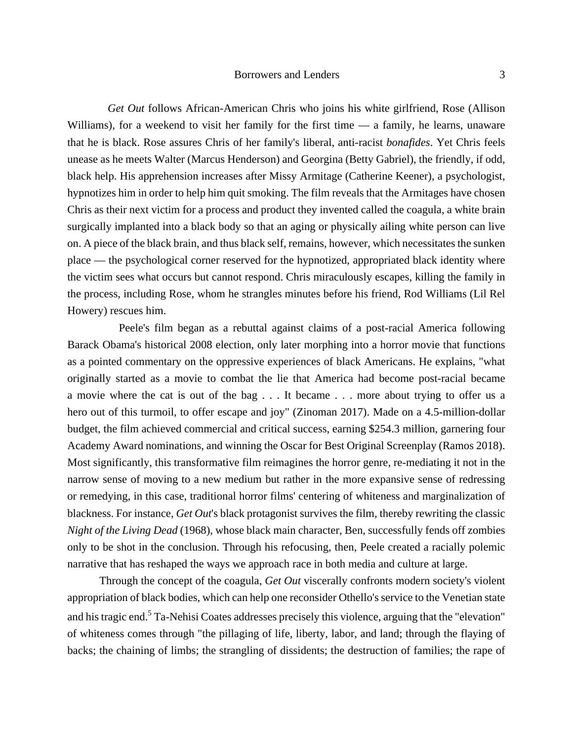*Get Out* follows African-American Chris who joins his white girlfriend, Rose (Allison Williams), for a weekend to visit her family for the first time — a family, he learns, unaware that he is black. Rose assures Chris of her family's liberal, anti-racist *bonafides*. Yet Chris feels unease as he meets Walter (Marcus Henderson) and Georgina (Betty Gabriel), the friendly, if odd, black help. His apprehension increases after Missy Armitage (Catherine Keener), a psychologist, hypnotizes him in order to help him quit smoking. The film reveals that the Armitages have chosen Chris as their next victim for a process and product they invented called the coagula, a white brain surgically implanted into a black body so that an aging or physically ailing white person can live on. A piece of the black brain, and thus black self, remains, however, which necessitates the sunken place — the psychological corner reserved for the hypnotized, appropriated black identity where the victim sees what occurs but cannot respond. Chris miraculously escapes, killing the family in the process, including Rose, whom he strangles minutes before his friend, Rod Williams (Lil Rel Howery) rescues him.

 Peele's film began as a rebuttal against claims of a post-racial America following Barack Obama's historical 2008 election, only later morphing into a horror movie that functions as a pointed commentary on the oppressive experiences of black Americans. He explains, "what originally started as a movie to combat the lie that America had become post-racial became a movie where the cat is out of the bag . . . It became . . . more about trying to offer us a hero out of this turmoil, to offer escape and joy" (Zinoman 2017). Made on a 4.5-million-dollar budget, the film achieved commercial and critical success, earning \$254.3 million, garnering four Academy Award nominations, and winning the Oscar for Best Original Screenplay (Ramos 2018). Most significantly, this transformative film reimagines the horror genre, re-mediating it not in the narrow sense of moving to a new medium but rather in the more expansive sense of redressing or remedying, in this case, traditional horror films' centering of whiteness and marginalization of blackness. For instance, *Get Out*'s black protagonist survives the film, thereby rewriting the classic *Night of the Living Dead* (1968), whose black main character, Ben, successfully fends off zombies only to be shot in the conclusion. Through his refocusing, then, Peele created a racially polemic narrative that has reshaped the ways we approach race in both media and culture at large.

 Through the concept of the coagula, *Get Out* viscerally confronts modern society's violent appropriation of black bodies, which can help one reconsider Othello's service to the Venetian state and his tragic end.<sup>5</sup> Ta-Nehisi Coates addresses precisely this violence, arguing that the "elevation" of whiteness comes through "the pillaging of life, liberty, labor, and land; through the flaying of backs; the chaining of limbs; the strangling of dissidents; the destruction of families; the rape of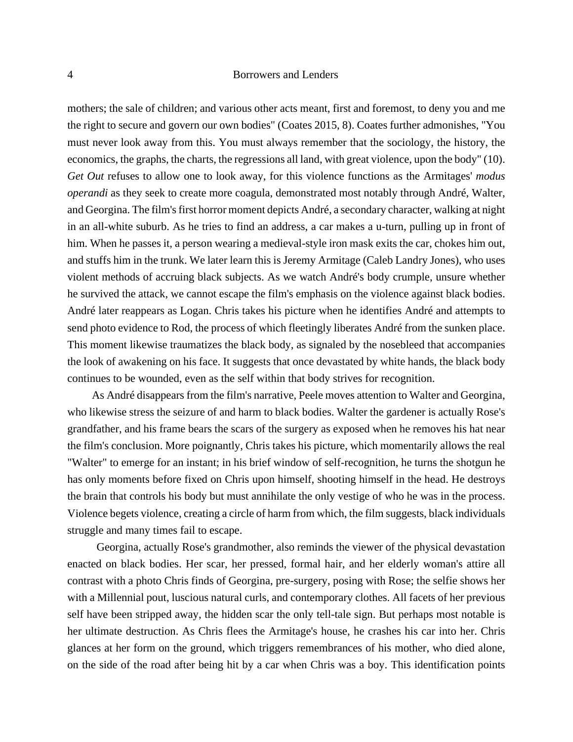mothers; the sale of children; and various other acts meant, first and foremost, to deny you and me the right to secure and govern our own bodies" (Coates 2015, 8). Coates further admonishes, "You must never look away from this. You must always remember that the sociology, the history, the economics, the graphs, the charts, the regressions all land, with great violence, upon the body" (10). *Get Out* refuses to allow one to look away, for this violence functions as the Armitages' *modus operandi* as they seek to create more coagula, demonstrated most notably through André, Walter, and Georgina. The film's first horror moment depicts André, a secondary character, walking at night in an all-white suburb. As he tries to find an address, a car makes a u-turn, pulling up in front of him. When he passes it, a person wearing a medieval-style iron mask exits the car, chokes him out, and stuffs him in the trunk. We later learn this is Jeremy Armitage (Caleb Landry Jones), who uses violent methods of accruing black subjects. As we watch André's body crumple, unsure whether he survived the attack, we cannot escape the film's emphasis on the violence against black bodies. André later reappears as Logan. Chris takes his picture when he identifies André and attempts to send photo evidence to Rod, the process of which fleetingly liberates André from the sunken place. This moment likewise traumatizes the black body, as signaled by the nosebleed that accompanies the look of awakening on his face. It suggests that once devastated by white hands, the black body continues to be wounded, even as the self within that body strives for recognition.

 As André disappears from the film's narrative, Peele moves attention to Walter and Georgina, who likewise stress the seizure of and harm to black bodies. Walter the gardener is actually Rose's grandfather, and his frame bears the scars of the surgery as exposed when he removes his hat near the film's conclusion. More poignantly, Chris takes his picture, which momentarily allows the real "Walter" to emerge for an instant; in his brief window of self-recognition, he turns the shotgun he has only moments before fixed on Chris upon himself, shooting himself in the head. He destroys the brain that controls his body but must annihilate the only vestige of who he was in the process. Violence begets violence, creating a circle of harm from which, the film suggests, black individuals struggle and many times fail to escape.

 Georgina, actually Rose's grandmother, also reminds the viewer of the physical devastation enacted on black bodies. Her scar, her pressed, formal hair, and her elderly woman's attire all contrast with a photo Chris finds of Georgina, pre-surgery, posing with Rose; the selfie shows her with a Millennial pout, luscious natural curls, and contemporary clothes. All facets of her previous self have been stripped away, the hidden scar the only tell-tale sign. But perhaps most notable is her ultimate destruction. As Chris flees the Armitage's house, he crashes his car into her. Chris glances at her form on the ground, which triggers remembrances of his mother, who died alone, on the side of the road after being hit by a car when Chris was a boy. This identification points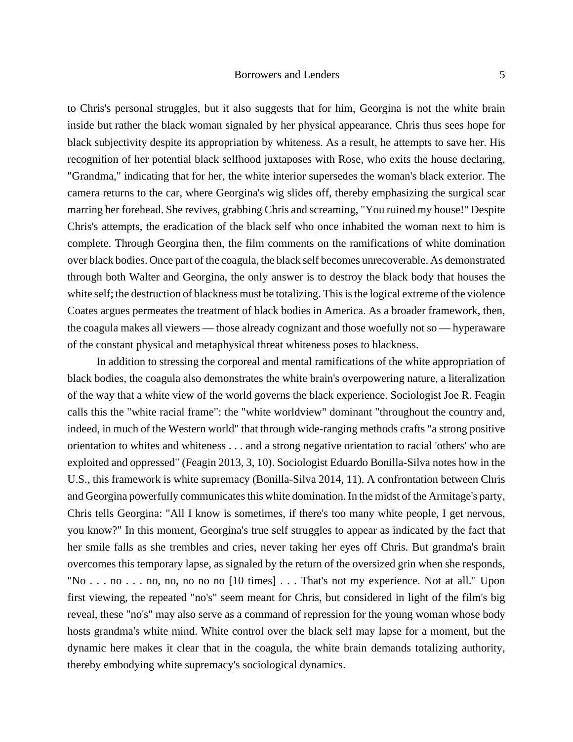to Chris's personal struggles, but it also suggests that for him, Georgina is not the white brain inside but rather the black woman signaled by her physical appearance. Chris thus sees hope for black subjectivity despite its appropriation by whiteness. As a result, he attempts to save her. His recognition of her potential black selfhood juxtaposes with Rose, who exits the house declaring, "Grandma," indicating that for her, the white interior supersedes the woman's black exterior. The camera returns to the car, where Georgina's wig slides off, thereby emphasizing the surgical scar marring her forehead. She revives, grabbing Chris and screaming, "You ruined my house!" Despite Chris's attempts, the eradication of the black self who once inhabited the woman next to him is complete. Through Georgina then, the film comments on the ramifications of white domination over black bodies. Once part of the coagula, the black self becomes unrecoverable. As demonstrated through both Walter and Georgina, the only answer is to destroy the black body that houses the white self; the destruction of blackness must be totalizing. This is the logical extreme of the violence Coates argues permeates the treatment of black bodies in America. As a broader framework, then, the coagula makes all viewers — those already cognizant and those woefully not so — hyperaware of the constant physical and metaphysical threat whiteness poses to blackness.

 In addition to stressing the corporeal and mental ramifications of the white appropriation of black bodies, the coagula also demonstrates the white brain's overpowering nature, a literalization of the way that a white view of the world governs the black experience. Sociologist Joe R. Feagin calls this the "white racial frame": the "white worldview" dominant "throughout the country and, indeed, in much of the Western world" that through wide-ranging methods crafts "a strong positive orientation to whites and whiteness . . . and a strong negative orientation to racial 'others' who are exploited and oppressed" (Feagin 2013, 3, 10). Sociologist Eduardo Bonilla-Silva notes how in the U.S., this framework is white supremacy (Bonilla-Silva 2014, 11). A confrontation between Chris and Georgina powerfully communicates this white domination. In the midst of the Armitage's party, Chris tells Georgina: "All I know is sometimes, if there's too many white people, I get nervous, you know?" In this moment, Georgina's true self struggles to appear as indicated by the fact that her smile falls as she trembles and cries, never taking her eyes off Chris. But grandma's brain overcomes this temporary lapse, as signaled by the return of the oversized grin when she responds, "No . . . no . . . no, no, no no no [10 times] . . . That's not my experience. Not at all." Upon first viewing, the repeated "no's" seem meant for Chris, but considered in light of the film's big reveal, these "no's" may also serve as a command of repression for the young woman whose body hosts grandma's white mind. White control over the black self may lapse for a moment, but the dynamic here makes it clear that in the coagula, the white brain demands totalizing authority, thereby embodying white supremacy's sociological dynamics.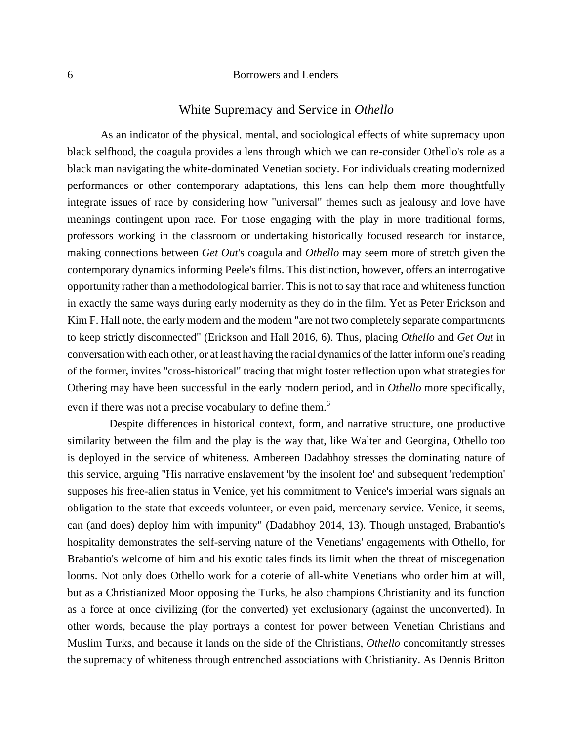# White Supremacy and Service in *Othello*

 As an indicator of the physical, mental, and sociological effects of white supremacy upon black selfhood, the coagula provides a lens through which we can re-consider Othello's role as a black man navigating the white-dominated Venetian society. For individuals creating modernized performances or other contemporary adaptations, this lens can help them more thoughtfully integrate issues of race by considering how "universal" themes such as jealousy and love have meanings contingent upon race. For those engaging with the play in more traditional forms, professors working in the classroom or undertaking historically focused research for instance, making connections between *Get Out*'s coagula and *Othello* may seem more of stretch given the contemporary dynamics informing Peele's films. This distinction, however, offers an interrogative opportunity rather than a methodological barrier. This is not to say that race and whiteness function in exactly the same ways during early modernity as they do in the film. Yet as Peter Erickson and Kim F. Hall note, the early modern and the modern "are not two completely separate compartments to keep strictly disconnected" (Erickson and Hall 2016, 6). Thus, placing *Othello* and *Get Out* in conversation with each other, or at least having the racial dynamics of the latter inform one's reading of the former, invites "cross-historical" tracing that might foster reflection upon what strategies for Othering may have been successful in the early modern period, and in *Othello* more specifically, even if there was not a precise vocabulary to define them.<sup>6</sup>

 Despite differences in historical context, form, and narrative structure, one productive similarity between the film and the play is the way that, like Walter and Georgina, Othello too is deployed in the service of whiteness. Ambereen Dadabhoy stresses the dominating nature of this service, arguing "His narrative enslavement 'by the insolent foe' and subsequent 'redemption' supposes his free-alien status in Venice, yet his commitment to Venice's imperial wars signals an obligation to the state that exceeds volunteer, or even paid, mercenary service. Venice, it seems, can (and does) deploy him with impunity" (Dadabhoy 2014, 13). Though unstaged, Brabantio's hospitality demonstrates the self-serving nature of the Venetians' engagements with Othello, for Brabantio's welcome of him and his exotic tales finds its limit when the threat of miscegenation looms. Not only does Othello work for a coterie of all-white Venetians who order him at will, but as a Christianized Moor opposing the Turks, he also champions Christianity and its function as a force at once civilizing (for the converted) yet exclusionary (against the unconverted). In other words, because the play portrays a contest for power between Venetian Christians and Muslim Turks, and because it lands on the side of the Christians, *Othello* concomitantly stresses the supremacy of whiteness through entrenched associations with Christianity. As Dennis Britton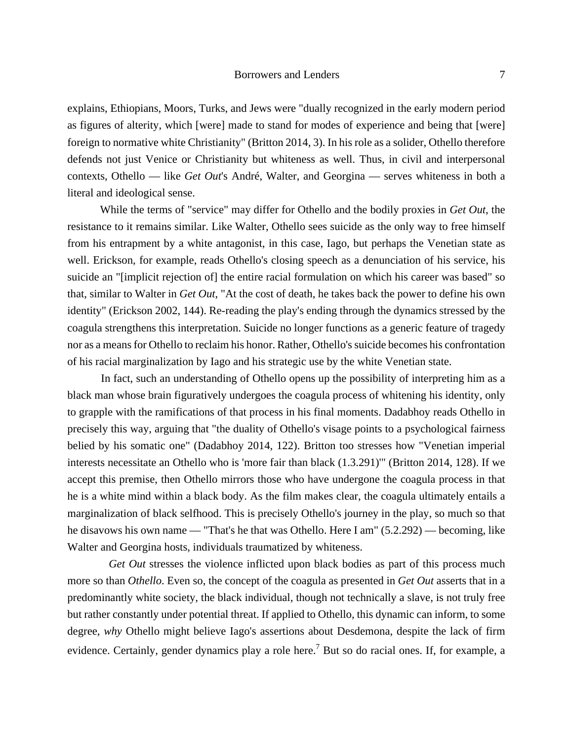explains, Ethiopians, Moors, Turks, and Jews were "dually recognized in the early modern period as figures of alterity, which [were] made to stand for modes of experience and being that [were] foreign to normative white Christianity" (Britton 2014, 3). In his role as a solider, Othello therefore defends not just Venice or Christianity but whiteness as well. Thus, in civil and interpersonal contexts, Othello — like *Get Out*'s André, Walter, and Georgina — serves whiteness in both a literal and ideological sense.

 While the terms of "service" may differ for Othello and the bodily proxies in *Get Out*, the resistance to it remains similar. Like Walter, Othello sees suicide as the only way to free himself from his entrapment by a white antagonist, in this case, Iago, but perhaps the Venetian state as well. Erickson, for example, reads Othello's closing speech as a denunciation of his service, his suicide an "[implicit rejection of] the entire racial formulation on which his career was based" so that, similar to Walter in *Get Out*, "At the cost of death, he takes back the power to define his own identity" (Erickson 2002, 144). Re-reading the play's ending through the dynamics stressed by the coagula strengthens this interpretation. Suicide no longer functions as a generic feature of tragedy nor as a means for Othello to reclaim his honor. Rather, Othello's suicide becomes his confrontation of his racial marginalization by Iago and his strategic use by the white Venetian state.

 In fact, such an understanding of Othello opens up the possibility of interpreting him as a black man whose brain figuratively undergoes the coagula process of whitening his identity, only to grapple with the ramifications of that process in his final moments. Dadabhoy reads Othello in precisely this way, arguing that "the duality of Othello's visage points to a psychological fairness belied by his somatic one" (Dadabhoy 2014, 122). Britton too stresses how "Venetian imperial interests necessitate an Othello who is 'more fair than black (1.3.291)'" (Britton 2014, 128). If we accept this premise, then Othello mirrors those who have undergone the coagula process in that he is a white mind within a black body. As the film makes clear, the coagula ultimately entails a marginalization of black selfhood. This is precisely Othello's journey in the play, so much so that he disavows his own name — "That's he that was Othello. Here I am" (5.2.292) — becoming, like Walter and Georgina hosts, individuals traumatized by whiteness.

 *Get Out* stresses the violence inflicted upon black bodies as part of this process much more so than *Othello*. Even so, the concept of the coagula as presented in *Get Out* asserts that in a predominantly white society, the black individual, though not technically a slave, is not truly free but rather constantly under potential threat. If applied to Othello, this dynamic can inform, to some degree, *why* Othello might believe Iago's assertions about Desdemona, despite the lack of firm evidence. Certainly, gender dynamics play a role here.<sup>7</sup> But so do racial ones. If, for example, a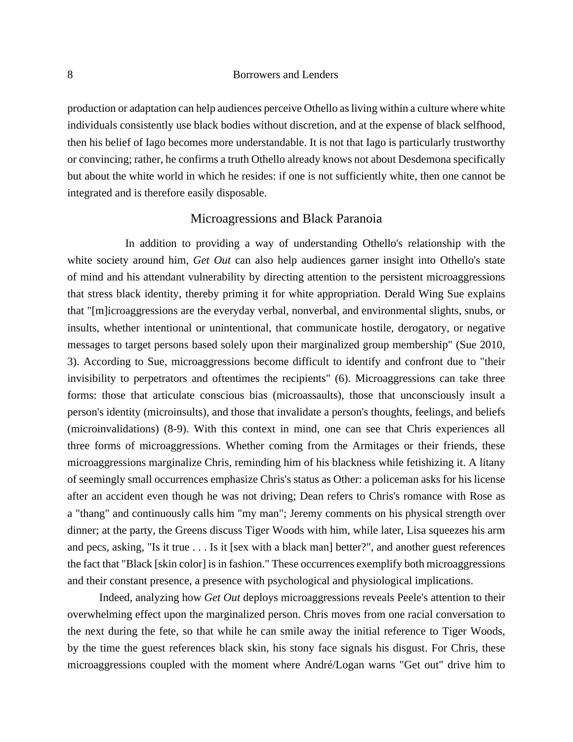production or adaptation can help audiences perceive Othello as living within a culture where white individuals consistently use black bodies without discretion, and at the expense of black selfhood, then his belief of Iago becomes more understandable. It is not that Iago is particularly trustworthy or convincing; rather, he confirms a truth Othello already knows not about Desdemona specifically but about the white world in which he resides: if one is not sufficiently white, then one cannot be integrated and is therefore easily disposable.

# Microagressions and Black Paranoia

 In addition to providing a way of understanding Othello's relationship with the white society around him, *Get Out* can also help audiences garner insight into Othello's state of mind and his attendant vulnerability by directing attention to the persistent microaggressions that stress black identity, thereby priming it for white appropriation. Derald Wing Sue explains that "[m]icroaggressions are the everyday verbal, nonverbal, and environmental slights, snubs, or insults, whether intentional or unintentional, that communicate hostile, derogatory, or negative messages to target persons based solely upon their marginalized group membership" (Sue 2010, 3). According to Sue, microaggressions become difficult to identify and confront due to "their invisibility to perpetrators and oftentimes the recipients" (6). Microaggressions can take three forms: those that articulate conscious bias (microassaults), those that unconsciously insult a person's identity (microinsults), and those that invalidate a person's thoughts, feelings, and beliefs (microinvalidations) (8-9). With this context in mind, one can see that Chris experiences all three forms of microaggressions. Whether coming from the Armitages or their friends, these microaggressions marginalize Chris, reminding him of his blackness while fetishizing it. A litany of seemingly small occurrences emphasize Chris's status as Other: a policeman asks for his license after an accident even though he was not driving; Dean refers to Chris's romance with Rose as a "thang" and continuously calls him "my man"; Jeremy comments on his physical strength over dinner; at the party, the Greens discuss Tiger Woods with him, while later, Lisa squeezes his arm and pecs, asking, "Is it true . . . Is it [sex with a black man] better?", and another guest references the fact that "Black [skin color] is in fashion." These occurrences exemplify both microaggressions and their constant presence, a presence with psychological and physiological implications.

 Indeed, analyzing how *Get Out* deploys microaggressions reveals Peele's attention to their overwhelming effect upon the marginalized person. Chris moves from one racial conversation to the next during the fete, so that while he can smile away the initial reference to Tiger Woods, by the time the guest references black skin, his stony face signals his disgust. For Chris, these microaggressions coupled with the moment where André/Logan warns "Get out" drive him to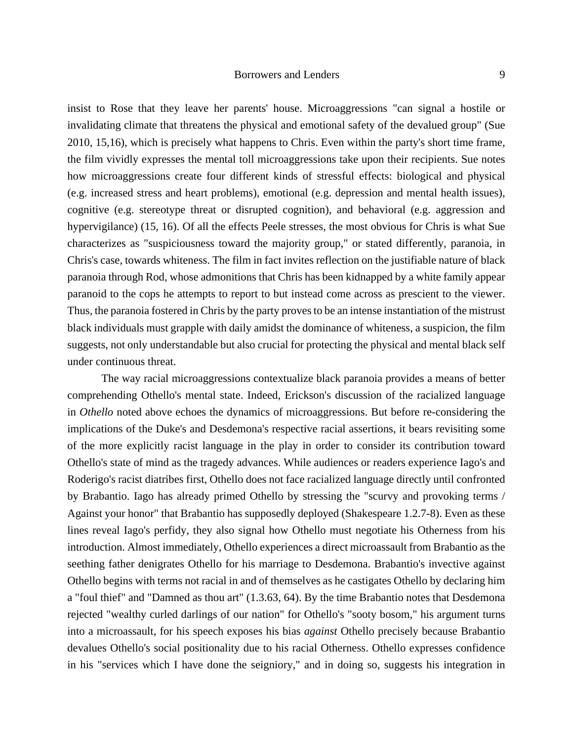insist to Rose that they leave her parents' house. Microaggressions "can signal a hostile or invalidating climate that threatens the physical and emotional safety of the devalued group" (Sue 2010, 15,16), which is precisely what happens to Chris. Even within the party's short time frame, the film vividly expresses the mental toll microaggressions take upon their recipients. Sue notes how microaggressions create four different kinds of stressful effects: biological and physical (e.g. increased stress and heart problems), emotional (e.g. depression and mental health issues), cognitive (e.g. stereotype threat or disrupted cognition), and behavioral (e.g. aggression and hypervigilance) (15, 16). Of all the effects Peele stresses, the most obvious for Chris is what Sue characterizes as "suspiciousness toward the majority group," or stated differently, paranoia, in Chris's case, towards whiteness. The film in fact invites reflection on the justifiable nature of black paranoia through Rod, whose admonitions that Chris has been kidnapped by a white family appear paranoid to the cops he attempts to report to but instead come across as prescient to the viewer. Thus, the paranoia fostered in Chris by the party proves to be an intense instantiation of the mistrust black individuals must grapple with daily amidst the dominance of whiteness, a suspicion, the film suggests, not only understandable but also crucial for protecting the physical and mental black self under continuous threat.

 The way racial microaggressions contextualize black paranoia provides a means of better comprehending Othello's mental state. Indeed, Erickson's discussion of the racialized language in *Othello* noted above echoes the dynamics of microaggressions. But before re-considering the implications of the Duke's and Desdemona's respective racial assertions, it bears revisiting some of the more explicitly racist language in the play in order to consider its contribution toward Othello's state of mind as the tragedy advances. While audiences or readers experience Iago's and Roderigo's racist diatribes first, Othello does not face racialized language directly until confronted by Brabantio. Iago has already primed Othello by stressing the "scurvy and provoking terms / Against your honor" that Brabantio has supposedly deployed (Shakespeare 1.2.7-8). Even as these lines reveal Iago's perfidy, they also signal how Othello must negotiate his Otherness from his introduction. Almost immediately, Othello experiences a direct microassault from Brabantio as the seething father denigrates Othello for his marriage to Desdemona. Brabantio's invective against Othello begins with terms not racial in and of themselves as he castigates Othello by declaring him a "foul thief" and "Damned as thou art" (1.3.63, 64). By the time Brabantio notes that Desdemona rejected "wealthy curled darlings of our nation" for Othello's "sooty bosom," his argument turns into a microassault, for his speech exposes his bias *against* Othello precisely because Brabantio devalues Othello's social positionality due to his racial Otherness. Othello expresses confidence in his "services which I have done the seigniory," and in doing so, suggests his integration in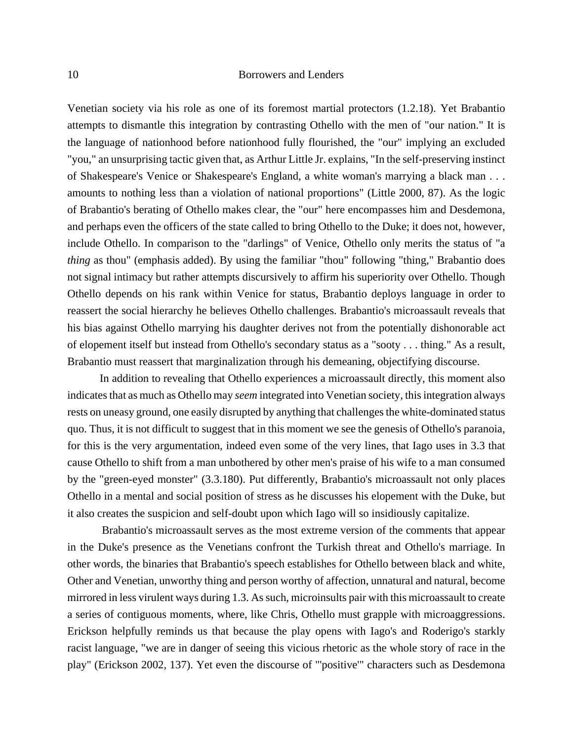Venetian society via his role as one of its foremost martial protectors (1.2.18). Yet Brabantio attempts to dismantle this integration by contrasting Othello with the men of "our nation." It is the language of nationhood before nationhood fully flourished, the "our" implying an excluded "you," an unsurprising tactic given that, as Arthur Little Jr. explains, "In the self-preserving instinct of Shakespeare's Venice or Shakespeare's England, a white woman's marrying a black man . . . amounts to nothing less than a violation of national proportions" (Little 2000, 87). As the logic of Brabantio's berating of Othello makes clear, the "our" here encompasses him and Desdemona, and perhaps even the officers of the state called to bring Othello to the Duke; it does not, however, include Othello. In comparison to the "darlings" of Venice, Othello only merits the status of "a *thing* as thou" (emphasis added). By using the familiar "thou" following "thing," Brabantio does not signal intimacy but rather attempts discursively to affirm his superiority over Othello. Though Othello depends on his rank within Venice for status, Brabantio deploys language in order to reassert the social hierarchy he believes Othello challenges. Brabantio's microassault reveals that his bias against Othello marrying his daughter derives not from the potentially dishonorable act of elopement itself but instead from Othello's secondary status as a "sooty . . . thing." As a result, Brabantio must reassert that marginalization through his demeaning, objectifying discourse.

 In addition to revealing that Othello experiences a microassault directly, this moment also indicates that as much as Othello may *seem* integrated into Venetian society, this integration always rests on uneasy ground, one easily disrupted by anything that challenges the white-dominated status quo. Thus, it is not difficult to suggest that in this moment we see the genesis of Othello's paranoia, for this is the very argumentation, indeed even some of the very lines, that Iago uses in 3.3 that cause Othello to shift from a man unbothered by other men's praise of his wife to a man consumed by the "green-eyed monster" (3.3.180). Put differently, Brabantio's microassault not only places Othello in a mental and social position of stress as he discusses his elopement with the Duke, but it also creates the suspicion and self-doubt upon which Iago will so insidiously capitalize.

 Brabantio's microassault serves as the most extreme version of the comments that appear in the Duke's presence as the Venetians confront the Turkish threat and Othello's marriage. In other words, the binaries that Brabantio's speech establishes for Othello between black and white, Other and Venetian, unworthy thing and person worthy of affection, unnatural and natural, become mirrored in less virulent ways during 1.3. As such, microinsults pair with this microassault to create a series of contiguous moments, where, like Chris, Othello must grapple with microaggressions. Erickson helpfully reminds us that because the play opens with Iago's and Roderigo's starkly racist language, "we are in danger of seeing this vicious rhetoric as the whole story of race in the play" (Erickson 2002, 137). Yet even the discourse of "'positive'" characters such as Desdemona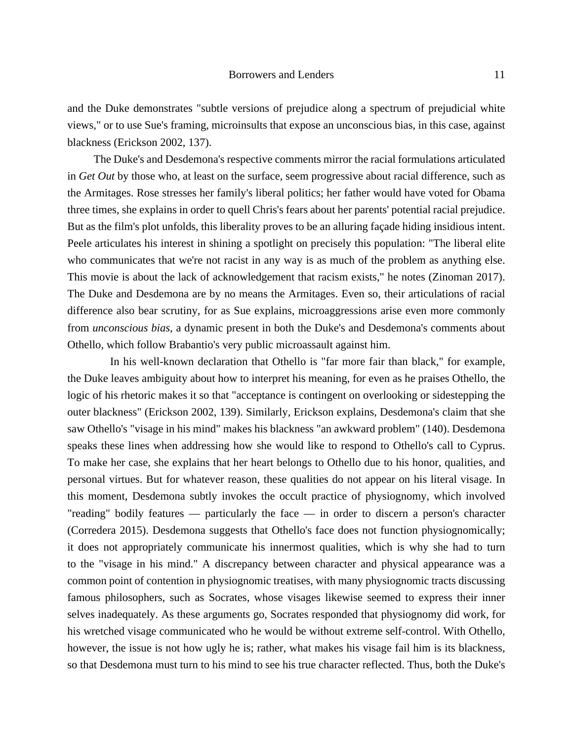and the Duke demonstrates "subtle versions of prejudice along a spectrum of prejudicial white views," or to use Sue's framing, microinsults that expose an unconscious bias, in this case, against blackness (Erickson 2002, 137).

 The Duke's and Desdemona's respective comments mirror the racial formulations articulated in *Get Out* by those who, at least on the surface, seem progressive about racial difference, such as the Armitages. Rose stresses her family's liberal politics; her father would have voted for Obama three times, she explains in order to quell Chris's fears about her parents' potential racial prejudice. But as the film's plot unfolds, this liberality proves to be an alluring façade hiding insidious intent. Peele articulates his interest in shining a spotlight on precisely this population: "The liberal elite who communicates that we're not racist in any way is as much of the problem as anything else. This movie is about the lack of acknowledgement that racism exists," he notes (Zinoman 2017). The Duke and Desdemona are by no means the Armitages. Even so, their articulations of racial difference also bear scrutiny, for as Sue explains, microaggressions arise even more commonly from *unconscious bias*, a dynamic present in both the Duke's and Desdemona's comments about Othello, which follow Brabantio's very public microassault against him.

 In his well-known declaration that Othello is "far more fair than black," for example, the Duke leaves ambiguity about how to interpret his meaning, for even as he praises Othello, the logic of his rhetoric makes it so that "acceptance is contingent on overlooking or sidestepping the outer blackness" (Erickson 2002, 139). Similarly, Erickson explains, Desdemona's claim that she saw Othello's "visage in his mind" makes his blackness "an awkward problem" (140). Desdemona speaks these lines when addressing how she would like to respond to Othello's call to Cyprus. To make her case, she explains that her heart belongs to Othello due to his honor, qualities, and personal virtues. But for whatever reason, these qualities do not appear on his literal visage. In this moment, Desdemona subtly invokes the occult practice of physiognomy, which involved "reading" bodily features — particularly the face — in order to discern a person's character (Corredera 2015). Desdemona suggests that Othello's face does not function physiognomically; it does not appropriately communicate his innermost qualities, which is why she had to turn to the "visage in his mind." A discrepancy between character and physical appearance was a common point of contention in physiognomic treatises, with many physiognomic tracts discussing famous philosophers, such as Socrates, whose visages likewise seemed to express their inner selves inadequately. As these arguments go, Socrates responded that physiognomy did work, for his wretched visage communicated who he would be without extreme self-control. With Othello, however, the issue is not how ugly he is; rather, what makes his visage fail him is its blackness, so that Desdemona must turn to his mind to see his true character reflected. Thus, both the Duke's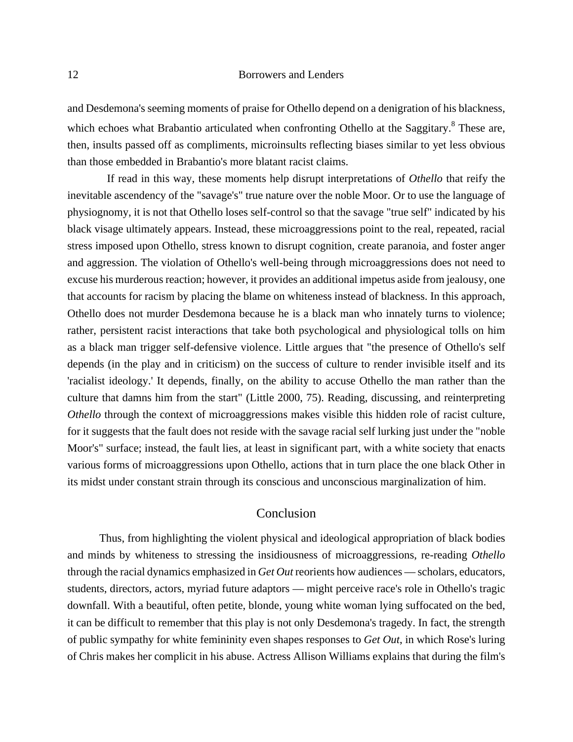and Desdemona's seeming moments of praise for Othello depend on a denigration of his blackness, which echoes what Brabantio articulated when confronting Othello at the Saggitary.<sup>8</sup> These are, then, insults passed off as compliments, microinsults reflecting biases similar to yet less obvious than those embedded in Brabantio's more blatant racist claims.

 If read in this way, these moments help disrupt interpretations of *Othello* that reify the inevitable ascendency of the "savage's" true nature over the noble Moor. Or to use the language of physiognomy, it is not that Othello loses self-control so that the savage "true self" indicated by his black visage ultimately appears. Instead, these microaggressions point to the real, repeated, racial stress imposed upon Othello, stress known to disrupt cognition, create paranoia, and foster anger and aggression. The violation of Othello's well-being through microaggressions does not need to excuse his murderous reaction; however, it provides an additional impetus aside from jealousy, one that accounts for racism by placing the blame on whiteness instead of blackness. In this approach, Othello does not murder Desdemona because he is a black man who innately turns to violence; rather, persistent racist interactions that take both psychological and physiological tolls on him as a black man trigger self-defensive violence. Little argues that "the presence of Othello's self depends (in the play and in criticism) on the success of culture to render invisible itself and its 'racialist ideology.' It depends, finally, on the ability to accuse Othello the man rather than the culture that damns him from the start" (Little 2000, 75). Reading, discussing, and reinterpreting *Othello* through the context of microaggressions makes visible this hidden role of racist culture, for it suggests that the fault does not reside with the savage racial self lurking just under the "noble Moor's" surface; instead, the fault lies, at least in significant part, with a white society that enacts various forms of microaggressions upon Othello, actions that in turn place the one black Other in its midst under constant strain through its conscious and unconscious marginalization of him.

# Conclusion

 Thus, from highlighting the violent physical and ideological appropriation of black bodies and minds by whiteness to stressing the insidiousness of microaggressions, re-reading *Othello* through the racial dynamics emphasized in *Get Out* reorients how audiences — scholars, educators, students, directors, actors, myriad future adaptors — might perceive race's role in Othello's tragic downfall. With a beautiful, often petite, blonde, young white woman lying suffocated on the bed, it can be difficult to remember that this play is not only Desdemona's tragedy. In fact, the strength of public sympathy for white femininity even shapes responses to *Get Out*, in which Rose's luring of Chris makes her complicit in his abuse. Actress Allison Williams explains that during the film's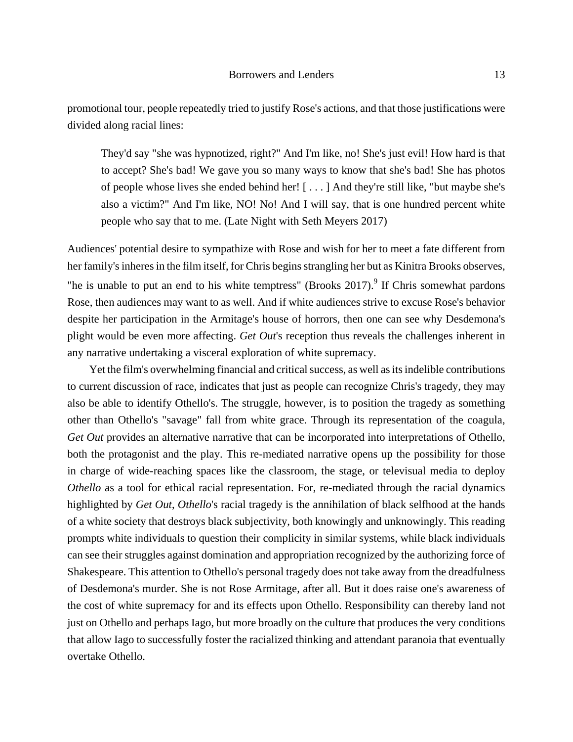promotional tour, people repeatedly tried to justify Rose's actions, and that those justifications were divided along racial lines:

They'd say "she was hypnotized, right?" And I'm like, no! She's just evil! How hard is that to accept? She's bad! We gave you so many ways to know that she's bad! She has photos of people whose lives she ended behind her! [ . . . ] And they're still like, "but maybe she's also a victim?" And I'm like, NO! No! And I will say, that is one hundred percent white people who say that to me. (Late Night with Seth Meyers 2017)

Audiences' potential desire to sympathize with Rose and wish for her to meet a fate different from her family's inheres in the film itself, for Chris begins strangling her but as Kinitra Brooks observes, "he is unable to put an end to his white temptress" (Brooks  $2017$ ). If Chris somewhat pardons Rose, then audiences may want to as well. And if white audiences strive to excuse Rose's behavior despite her participation in the Armitage's house of horrors, then one can see why Desdemona's plight would be even more affecting. *Get Out*'s reception thus reveals the challenges inherent in any narrative undertaking a visceral exploration of white supremacy.

 Yet the film's overwhelming financial and critical success, as well as its indelible contributions to current discussion of race, indicates that just as people can recognize Chris's tragedy, they may also be able to identify Othello's. The struggle, however, is to position the tragedy as something other than Othello's "savage" fall from white grace. Through its representation of the coagula, *Get Out* provides an alternative narrative that can be incorporated into interpretations of Othello, both the protagonist and the play. This re-mediated narrative opens up the possibility for those in charge of wide-reaching spaces like the classroom, the stage, or televisual media to deploy *Othello* as a tool for ethical racial representation. For, re-mediated through the racial dynamics highlighted by *Get Out*, *Othello*'s racial tragedy is the annihilation of black selfhood at the hands of a white society that destroys black subjectivity, both knowingly and unknowingly. This reading prompts white individuals to question their complicity in similar systems, while black individuals can see their struggles against domination and appropriation recognized by the authorizing force of Shakespeare. This attention to Othello's personal tragedy does not take away from the dreadfulness of Desdemona's murder. She is not Rose Armitage, after all. But it does raise one's awareness of the cost of white supremacy for and its effects upon Othello. Responsibility can thereby land not just on Othello and perhaps Iago, but more broadly on the culture that produces the very conditions that allow Iago to successfully foster the racialized thinking and attendant paranoia that eventually overtake Othello.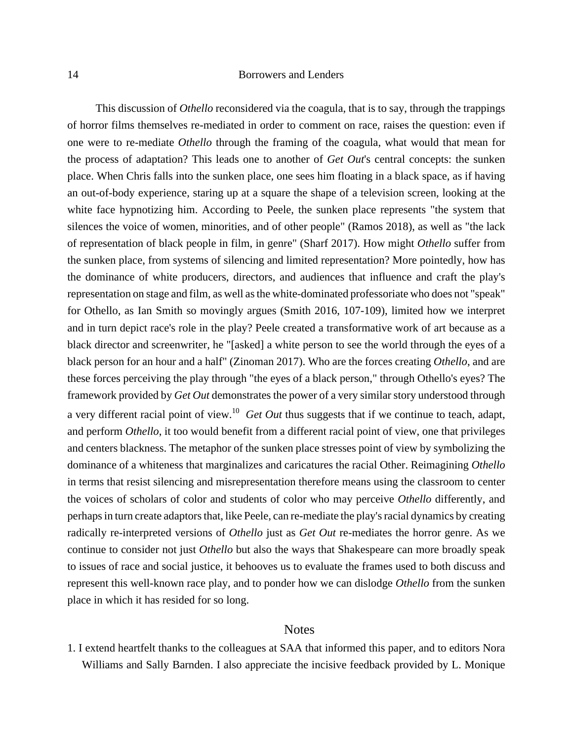This discussion of *Othello* reconsidered via the coagula, that is to say, through the trappings of horror films themselves re-mediated in order to comment on race, raises the question: even if one were to re-mediate *Othello* through the framing of the coagula, what would that mean for the process of adaptation? This leads one to another of *Get Out*'s central concepts: the sunken place. When Chris falls into the sunken place, one sees him floating in a black space, as if having an out-of-body experience, staring up at a square the shape of a television screen, looking at the white face hypnotizing him. According to Peele, the sunken place represents "the system that silences the voice of women, minorities, and of other people" (Ramos 2018), as well as "the lack of representation of black people in film, in genre" (Sharf 2017). How might *Othello* suffer from the sunken place, from systems of silencing and limited representation? More pointedly, how has the dominance of white producers, directors, and audiences that influence and craft the play's representation on stage and film, as well as the white-dominated professoriate who does not "speak" for Othello, as Ian Smith so movingly argues (Smith 2016, 107-109), limited how we interpret and in turn depict race's role in the play? Peele created a transformative work of art because as a black director and screenwriter, he "[asked] a white person to see the world through the eyes of a black person for an hour and a half" (Zinoman 2017). Who are the forces creating *Othello*, and are these forces perceiving the play through "the eyes of a black person," through Othello's eyes? The framework provided by *Get Out* demonstrates the power of a very similar story understood through a very different racial point of view.<sup>10</sup> *Get Out* thus suggests that if we continue to teach, adapt, and perform *Othello*, it too would benefit from a different racial point of view, one that privileges and centers blackness. The metaphor of the sunken place stresses point of view by symbolizing the dominance of a whiteness that marginalizes and caricatures the racial Other. Reimagining *Othello* in terms that resist silencing and misrepresentation therefore means using the classroom to center the voices of scholars of color and students of color who may perceive *Othello* differently, and perhaps in turn create adaptors that, like Peele, can re-mediate the play's racial dynamics by creating radically re-interpreted versions of *Othello* just as *Get Out* re-mediates the horror genre. As we continue to consider not just *Othello* but also the ways that Shakespeare can more broadly speak to issues of race and social justice, it behooves us to evaluate the frames used to both discuss and represent this well-known race play, and to ponder how we can dislodge *Othello* from the sunken place in which it has resided for so long.

# **Notes**

1. I extend heartfelt thanks to the colleagues at SAA that informed this paper, and to editors Nora Williams and Sally Barnden. I also appreciate the incisive feedback provided by L. Monique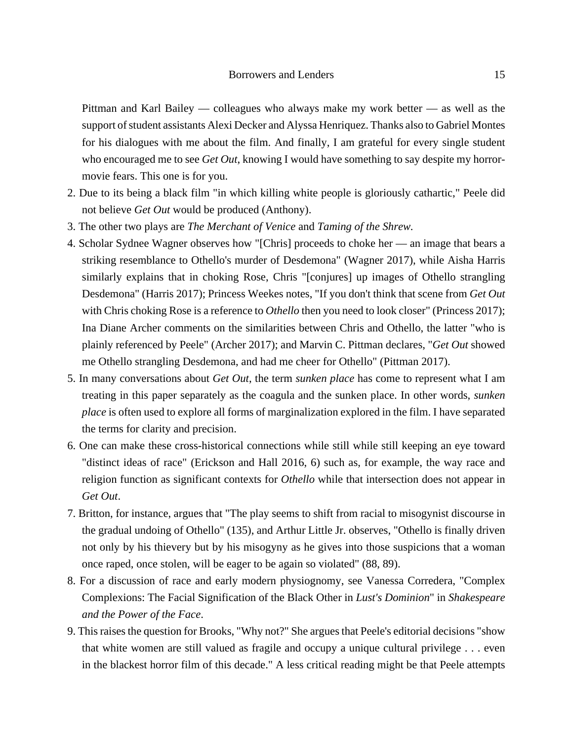Pittman and Karl Bailey — colleagues who always make my work better — as well as the support of student assistants Alexi Decker and Alyssa Henriquez. Thanks also to Gabriel Montes for his dialogues with me about the film. And finally, I am grateful for every single student who encouraged me to see *Get Out*, knowing I would have something to say despite my horrormovie fears. This one is for you.

- 2. Due to its being a black film "in which killing white people is gloriously cathartic," Peele did not believe *Get Out* would be produced (Anthony).
- 3. The other two plays are *The Merchant of Venice* and *Taming of the Shrew.*
- 4. Scholar Sydnee Wagner observes how "[Chris] proceeds to choke her an image that bears a striking resemblance to Othello's murder of Desdemona" (Wagner 2017), while Aisha Harris similarly explains that in choking Rose, Chris "[conjures] up images of Othello strangling Desdemona" (Harris 2017); Princess Weekes notes, "If you don't think that scene from *Get Out* with Chris choking Rose is a reference to *Othello* then you need to look closer" (Princess 2017); Ina Diane Archer comments on the similarities between Chris and Othello, the latter "who is plainly referenced by Peele" (Archer 2017); and Marvin C. Pittman declares, "*Get Out* showed me Othello strangling Desdemona, and had me cheer for Othello" (Pittman 2017).
- 5. In many conversations about *Get Out*, the term *sunken place* has come to represent what I am treating in this paper separately as the coagula and the sunken place. In other words, *sunken place* is often used to explore all forms of marginalization explored in the film. I have separated the terms for clarity and precision.
- 6. One can make these cross-historical connections while still while still keeping an eye toward "distinct ideas of race" (Erickson and Hall 2016, 6) such as, for example, the way race and religion function as significant contexts for *Othello* while that intersection does not appear in *Get Out*.
- 7. Britton, for instance, argues that "The play seems to shift from racial to misogynist discourse in the gradual undoing of Othello" (135), and Arthur Little Jr. observes, "Othello is finally driven not only by his thievery but by his misogyny as he gives into those suspicions that a woman once raped, once stolen, will be eager to be again so violated" (88, 89).
- 8. For a discussion of race and early modern physiognomy, see Vanessa Corredera, "Complex Complexions: The Facial Signification of the Black Other in *Lust's Dominion*" in *Shakespeare and the Power of the Face*.
- 9. This raises the question for Brooks, "Why not?" She argues that Peele's editorial decisions "show that white women are still valued as fragile and occupy a unique cultural privilege . . . even in the blackest horror film of this decade." A less critical reading might be that Peele attempts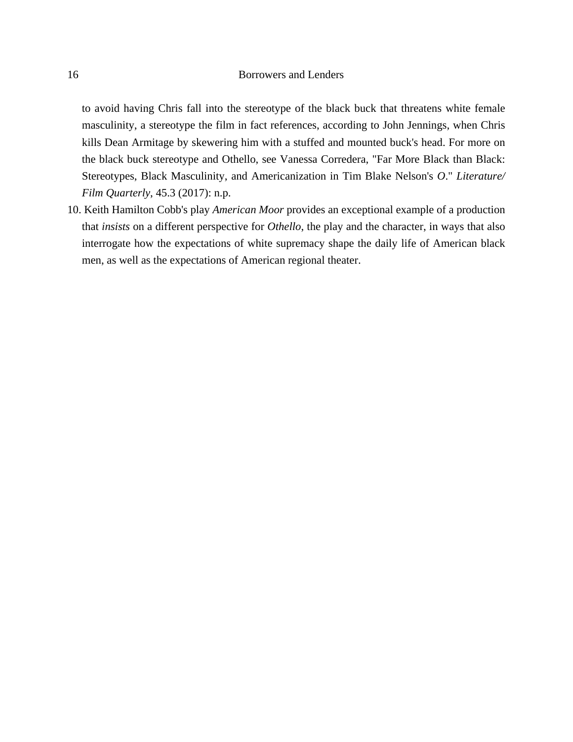to avoid having Chris fall into the stereotype of the black buck that threatens white female masculinity, a stereotype the film in fact references, according to John Jennings, when Chris kills Dean Armitage by skewering him with a stuffed and mounted buck's head. For more on the black buck stereotype and Othello, see Vanessa Corredera, "Far More Black than Black: Stereotypes, Black Masculinity, and Americanization in Tim Blake Nelson's *O*." *Literature/ Film Quarterly*, 45.3 (2017): n.p.

10. Keith Hamilton Cobb's play *American Moor* provides an exceptional example of a production that *insists* on a different perspective for *Othello*, the play and the character, in ways that also interrogate how the expectations of white supremacy shape the daily life of American black men, as well as the expectations of American regional theater.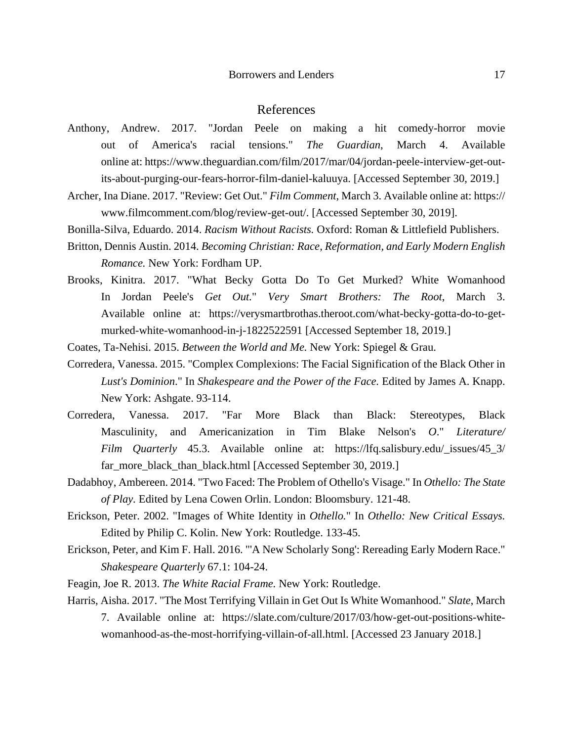# References

- Anthony, Andrew. 2017. "Jordan Peele on making a hit comedy-horror movie out of America's racial tensions." *The Guardian*, March 4. Available online at: https://www.theguardian.com/film/2017/mar/04/jordan-peele-interview-get-outits-about-purging-our-fears-horror-film-daniel-kaluuya. [Accessed September 30, 2019.]
- Archer, Ina Diane. 2017. "Review: Get Out." *Film Comment*, March 3. Available online at: https:// www.filmcomment.com/blog/review-get-out/. [Accessed September 30, 2019].
- Bonilla-Silva, Eduardo. 2014. *Racism Without Racists.* Oxford: Roman & Littlefield Publishers.
- Britton, Dennis Austin. 2014. *Becoming Christian: Race, Reformation, and Early Modern English Romance.* New York: Fordham UP.
- Brooks, Kinitra. 2017. "What Becky Gotta Do To Get Murked? White Womanhood In Jordan Peele's *Get Out.*" *Very Smart Brothers: The Root*, March 3. Available online at: https://verysmartbrothas.theroot.com/what-becky-gotta-do-to-getmurked-white-womanhood-in-j-1822522591 [Accessed September 18, 2019.]
- Coates, Ta-Nehisi. 2015. *Between the World and Me.* New York: Spiegel & Grau.
- Corredera, Vanessa. 2015. "Complex Complexions: The Facial Signification of the Black Other in *Lust's Dominion*." In *Shakespeare and the Power of the Face.* Edited by James A. Knapp. New York: Ashgate. 93-114.
- Corredera, Vanessa. 2017. "Far More Black than Black: Stereotypes, Black Masculinity, and Americanization in Tim Blake Nelson's *O*." *Literature/ Film Quarterly* 45.3. Available online at: https://lfq.salisbury.edu/\_issues/45\_3/ far\_more\_black\_than\_black.html [Accessed September 30, 2019.]
- Dadabhoy, Ambereen. 2014. "Two Faced: The Problem of Othello's Visage." In *Othello: The State of Play.* Edited by Lena Cowen Orlin. London: Bloomsbury. 121-48.
- Erickson, Peter. 2002. "Images of White Identity in *Othello.*" In *Othello: New Critical Essays.* Edited by Philip C. Kolin. New York: Routledge. 133-45.
- Erickson, Peter, and Kim F. Hall. 2016. "'A New Scholarly Song': Rereading Early Modern Race." *Shakespeare Quarterly* 67.1: 104-24.
- Feagin, Joe R. 2013. *The White Racial Frame.* New York: Routledge.
- Harris, Aisha. 2017. "The Most Terrifying Villain in Get Out Is White Womanhood." *Slate*, March 7. Available online at: https://slate.com/culture/2017/03/how-get-out-positions-whitewomanhood-as-the-most-horrifying-villain-of-all.html. [Accessed 23 January 2018.]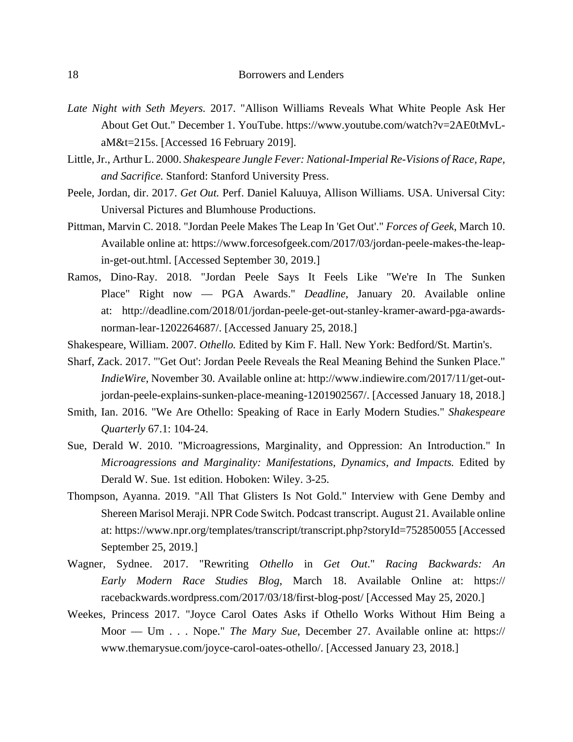- *Late Night with Seth Meyers.* 2017. "Allison Williams Reveals What White People Ask Her About Get Out." December 1. YouTube. https://www.youtube.com/watch?v=2AE0tMvLaM&t=215s. [Accessed 16 February 2019].
- Little, Jr., Arthur L. 2000. *Shakespeare Jungle Fever: National-Imperial Re-Visions of Race, Rape, and Sacrifice.* Stanford: Stanford University Press.
- Peele, Jordan, dir. 2017. *Get Out.* Perf. Daniel Kaluuya, Allison Williams. USA. Universal City: Universal Pictures and Blumhouse Productions.
- Pittman, Marvin C. 2018. "Jordan Peele Makes The Leap In 'Get Out'." *Forces of Geek*, March 10. Available online at: https://www.forcesofgeek.com/2017/03/jordan-peele-makes-the-leapin-get-out.html. [Accessed September 30, 2019.]
- Ramos, Dino-Ray. 2018. "Jordan Peele Says It Feels Like "We're In The Sunken Place" Right now — PGA Awards." *Deadline*, January 20. Available online at: http://deadline.com/2018/01/jordan-peele-get-out-stanley-kramer-award-pga-awardsnorman-lear-1202264687/. [Accessed January 25, 2018.]
- Shakespeare, William. 2007. *Othello.* Edited by Kim F. Hall. New York: Bedford/St. Martin's.
- Sharf, Zack. 2017. "'Get Out': Jordan Peele Reveals the Real Meaning Behind the Sunken Place." *IndieWire*, November 30. Available online at: http://www.indiewire.com/2017/11/get-outjordan-peele-explains-sunken-place-meaning-1201902567/. [Accessed January 18, 2018.]
- Smith, Ian. 2016. "We Are Othello: Speaking of Race in Early Modern Studies." *Shakespeare Quarterly* 67.1: 104-24.
- Sue, Derald W. 2010. "Microagressions, Marginality, and Oppression: An Introduction." In *Microagressions and Marginality: Manifestations, Dynamics, and Impacts.* Edited by Derald W. Sue. 1st edition. Hoboken: Wiley. 3-25.
- Thompson, Ayanna. 2019. "All That Glisters Is Not Gold." Interview with Gene Demby and Shereen Marisol Meraji. NPR Code Switch. Podcast transcript. August 21. Available online at: https://www.npr.org/templates/transcript/transcript.php?storyId=752850055 [Accessed September 25, 2019.]
- Wagner, Sydnee. 2017. "Rewriting *Othello* in *Get Out*." *Racing Backwards: An Early Modern Race Studies Blog*, March 18. Available Online at: https:// racebackwards.wordpress.com/2017/03/18/first-blog-post/ [Accessed May 25, 2020.]
- Weekes, Princess 2017. "Joyce Carol Oates Asks if Othello Works Without Him Being a Moor — Um . . . Nope." *The Mary Sue*, December 27. Available online at: https:// www.themarysue.com/joyce-carol-oates-othello/. [Accessed January 23, 2018.]